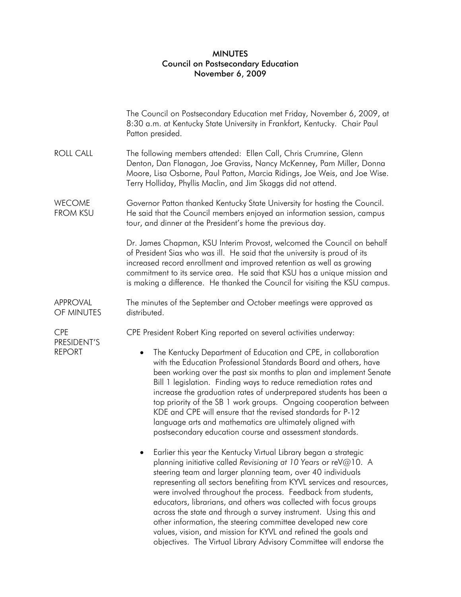## MINUTES Council on Postsecondary Education November 6, 2009

|                                            | The Council on Postsecondary Education met Friday, November 6, 2009, at<br>8:30 a.m. at Kentucky State University in Frankfort, Kentucky. Chair Paul<br>Patton presided.                                                                                                                                                                                                                                                                                                                                                                                                                                                                                                                       |
|--------------------------------------------|------------------------------------------------------------------------------------------------------------------------------------------------------------------------------------------------------------------------------------------------------------------------------------------------------------------------------------------------------------------------------------------------------------------------------------------------------------------------------------------------------------------------------------------------------------------------------------------------------------------------------------------------------------------------------------------------|
| <b>ROLL CALL</b>                           | The following members attended: Ellen Call, Chris Crumrine, Glenn<br>Denton, Dan Flanagan, Joe Graviss, Nancy McKenney, Pam Miller, Donna<br>Moore, Lisa Osborne, Paul Patton, Marcia Ridings, Joe Weis, and Joe Wise.<br>Terry Holliday, Phyllis Maclin, and Jim Skaggs did not attend.                                                                                                                                                                                                                                                                                                                                                                                                       |
| <b>WECOME</b><br><b>FROM KSU</b>           | Governor Patton thanked Kentucky State University for hosting the Council.<br>He said that the Council members enjoyed an information session, campus<br>tour, and dinner at the President's home the previous day.                                                                                                                                                                                                                                                                                                                                                                                                                                                                            |
|                                            | Dr. James Chapman, KSU Interim Provost, welcomed the Council on behalf<br>of President Sias who was ill. He said that the university is proud of its<br>increased record enrollment and improved retention as well as growing<br>commitment to its service area. He said that KSU has a unique mission and<br>is making a difference. He thanked the Council for visiting the KSU campus.                                                                                                                                                                                                                                                                                                      |
| <b>APPROVAL</b><br>OF MINUTES              | The minutes of the September and October meetings were approved as<br>distributed.                                                                                                                                                                                                                                                                                                                                                                                                                                                                                                                                                                                                             |
| <b>CPE</b><br>PRESIDENT'S<br><b>REPORT</b> | CPE President Robert King reported on several activities underway:                                                                                                                                                                                                                                                                                                                                                                                                                                                                                                                                                                                                                             |
|                                            | The Kentucky Department of Education and CPE, in collaboration<br>with the Education Professional Standards Board and others, have<br>been working over the past six months to plan and implement Senate<br>Bill 1 legislation. Finding ways to reduce remediation rates and<br>increase the graduation rates of underprepared students has been a<br>top priority of the SB 1 work groups. Ongoing cooperation between<br>KDE and CPE will ensure that the revised standards for P-12<br>language arts and mathematics are ultimately aligned with<br>postsecondary education course and assessment standards.                                                                                |
|                                            | Earlier this year the Kentucky Virtual Library began a strategic<br>planning initiative called Revisioning at 10 Years or reV@10. A<br>steering team and larger planning team, over 40 individuals<br>representing all sectors benefiting from KYVL services and resources,<br>were involved throughout the process. Feedback from students,<br>educators, librarians, and others was collected with focus groups<br>across the state and through a survey instrument. Using this and<br>other information, the steering committee developed new core<br>values, vision, and mission for KYVL and refined the goals and<br>objectives. The Virtual Library Advisory Committee will endorse the |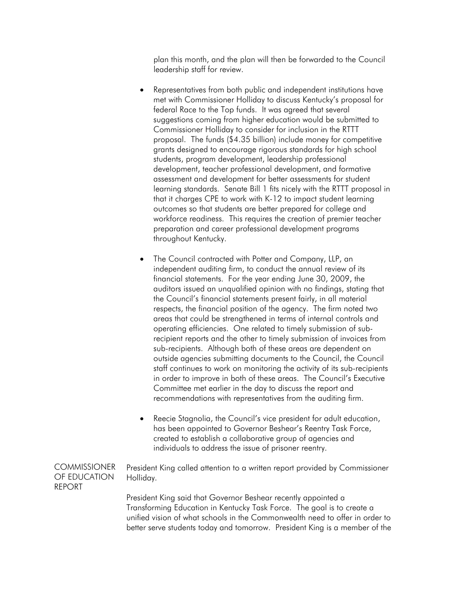plan this month, and the plan will then be forwarded to the Council leadership staff for review.

- Representatives from both public and independent institutions have met with Commissioner Holliday to discuss Kentucky's proposal for federal Race to the Top funds. It was agreed that several suggestions coming from higher education would be submitted to Commissioner Holliday to consider for inclusion in the RTTT proposal. The funds (\$4.35 billion) include money for competitive grants designed to encourage rigorous standards for high school students, program development, leadership professional development, teacher professional development, and formative assessment and development for better assessments for student learning standards. Senate Bill 1 fits nicely with the RTTT proposal in that it charges CPE to work with K-12 to impact student learning outcomes so that students are better prepared for college and workforce readiness. This requires the creation of premier teacher preparation and career professional development programs throughout Kentucky.
- The Council contracted with Potter and Company, LLP, an independent auditing firm, to conduct the annual review of its financial statements. For the year ending June 30, 2009, the auditors issued an unqualified opinion with no findings, stating that the Council's financial statements present fairly, in all material respects, the financial position of the agency. The firm noted two areas that could be strengthened in terms of internal controls and operating efficiencies. One related to timely submission of subrecipient reports and the other to timely submission of invoices from sub-recipients. Although both of these areas are dependent on outside agencies submitting documents to the Council, the Council staff continues to work on monitoring the activity of its sub-recipients in order to improve in both of these areas. The Council's Executive Committee met earlier in the day to discuss the report and recommendations with representatives from the auditing firm.
- Reecie Stagnolia, the Council's vice president for adult education, has been appointed to Governor Beshear's Reentry Task Force, created to establish a collaborative group of agencies and individuals to address the issue of prisoner reentry.

**COMMISSIONER** OF EDUCATION REPORT

President King called attention to a written report provided by Commissioner Holliday.

President King said that Governor Beshear recently appointed a Transforming Education in Kentucky Task Force. The goal is to create a unified vision of what schools in the Commonwealth need to offer in order to better serve students today and tomorrow. President King is a member of the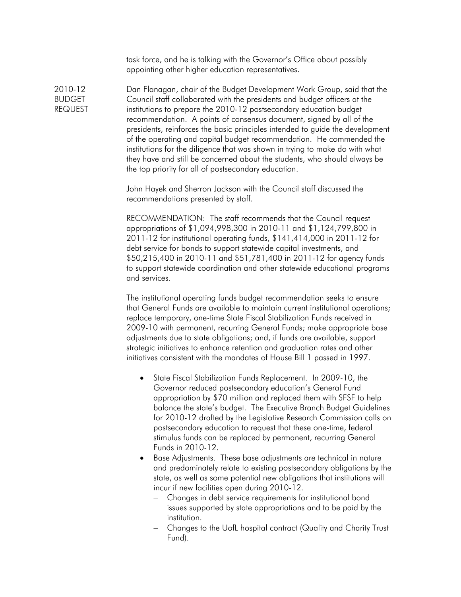task force, and he is talking with the Governor's Office about possibly appointing other higher education representatives.

Dan Flanagan, chair of the Budget Development Work Group, said that the Council staff collaborated with the presidents and budget officers at the institutions to prepare the 2010-12 postsecondary education budget recommendation. A points of consensus document, signed by all of the presidents, reinforces the basic principles intended to guide the development of the operating and capital budget recommendation. He commended the institutions for the diligence that was shown in trying to make do with what they have and still be concerned about the students, who should always be the top priority for all of postsecondary education.

> John Hayek and Sherron Jackson with the Council staff discussed the recommendations presented by staff.

RECOMMENDATION: The staff recommends that the Council request appropriations of \$1,094,998,300 in 2010-11 and \$1,124,799,800 in 2011-12 for institutional operating funds, \$141,414,000 in 2011-12 for debt service for bonds to support statewide capital investments, and \$50,215,400 in 2010-11 and \$51,781,400 in 2011-12 for agency funds to support statewide coordination and other statewide educational programs and services.

The institutional operating funds budget recommendation seeks to ensure that General Funds are available to maintain current institutional operations; replace temporary, one-time State Fiscal Stabilization Funds received in 2009-10 with permanent, recurring General Funds; make appropriate base adjustments due to state obligations; and, if funds are available, support strategic initiatives to enhance retention and graduation rates and other initiatives consistent with the mandates of House Bill 1 passed in 1997.

- State Fiscal Stabilization Funds Replacement. In 2009-10, the Governor reduced postsecondary education's General Fund appropriation by \$70 million and replaced them with SFSF to help balance the state's budget. The Executive Branch Budget Guidelines for 2010-12 drafted by the Legislative Research Commission calls on postsecondary education to request that these one-time, federal stimulus funds can be replaced by permanent, recurring General Funds in 2010-12.
- Base Adjustments. These base adjustments are technical in nature and predominately relate to existing postsecondary obligations by the state, as well as some potential new obligations that institutions will incur if new facilities open during 2010-12.
	- Changes in debt service requirements for institutional bond issues supported by state appropriations and to be paid by the institution.
	- Changes to the UofL hospital contract (Quality and Charity Trust Fund).

2010-12 BUDGET REQUEST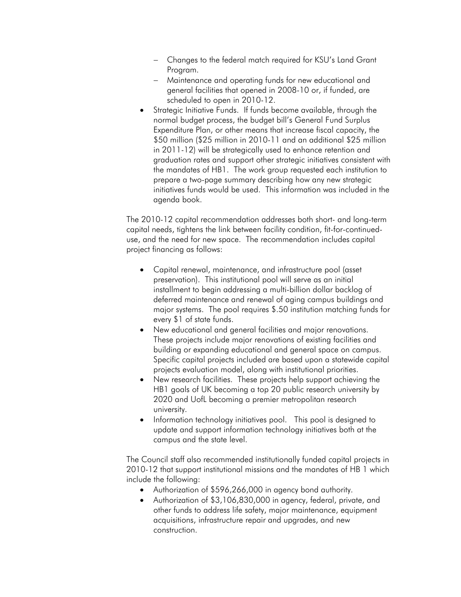- Changes to the federal match required for KSU's Land Grant Program.
- Maintenance and operating funds for new educational and general facilities that opened in 2008-10 or, if funded, are scheduled to open in 2010-12.
- Strategic Initiative Funds. If funds become available, through the normal budget process, the budget bill's General Fund Surplus Expenditure Plan, or other means that increase fiscal capacity, the \$50 million (\$25 million in 2010-11 and an additional \$25 million in 2011-12) will be strategically used to enhance retention and graduation rates and support other strategic initiatives consistent with the mandates of HB1. The work group requested each institution to prepare a two-page summary describing how any new strategic initiatives funds would be used. This information was included in the agenda book.

The 2010-12 capital recommendation addresses both short- and long-term capital needs, tightens the link between facility condition, fit-for-continueduse, and the need for new space. The recommendation includes capital project financing as follows:

- Capital renewal, maintenance, and infrastructure pool (asset preservation). This institutional pool will serve as an initial installment to begin addressing a multi-billion dollar backlog of deferred maintenance and renewal of aging campus buildings and major systems. The pool requires \$.50 institution matching funds for every \$1 of state funds.
- New educational and general facilities and major renovations. These projects include major renovations of existing facilities and building or expanding educational and general space on campus. Specific capital projects included are based upon a statewide capital projects evaluation model, along with institutional priorities.
- New research facilities. These projects help support achieving the HB1 goals of UK becoming a top 20 public research university by 2020 and UofL becoming a premier metropolitan research university.
- Information technology initiatives pool. This pool is designed to update and support information technology initiatives both at the campus and the state level.

The Council staff also recommended institutionally funded capital projects in 2010-12 that support institutional missions and the mandates of HB 1 which include the following:

- Authorization of \$596,266,000 in agency bond authority.
- Authorization of \$3,106,830,000 in agency, federal, private, and other funds to address life safety, major maintenance, equipment acquisitions, infrastructure repair and upgrades, and new construction.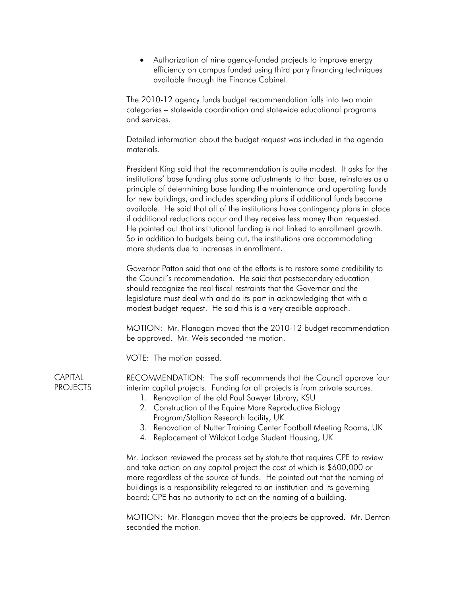Authorization of nine agency-funded projects to improve energy efficiency on campus funded using third party financing techniques available through the Finance Cabinet.

The 2010-12 agency funds budget recommendation falls into two main categories – statewide coordination and statewide educational programs and services.

Detailed information about the budget request was included in the agenda materials.

President King said that the recommendation is quite modest. It asks for the institutions' base funding plus some adjustments to that base, reinstates as a principle of determining base funding the maintenance and operating funds for new buildings, and includes spending plans if additional funds become available. He said that all of the institutions have contingency plans in place if additional reductions occur and they receive less money than requested. He pointed out that institutional funding is not linked to enrollment growth. So in addition to budgets being cut, the institutions are accommodating more students due to increases in enrollment.

Governor Patton said that one of the efforts is to restore some credibility to the Council's recommendation. He said that postsecondary education should recognize the real fiscal restraints that the Governor and the legislature must deal with and do its part in acknowledging that with a modest budget request. He said this is a very credible approach.

MOTION: Mr. Flanagan moved that the 2010-12 budget recommendation be approved. Mr. Weis seconded the motion.

VOTE: The motion passed.

RECOMMENDATION: The staff recommends that the Council approve four interim capital projects. Funding for all projects is from private sources.

- 1. Renovation of the old Paul Sawyer Library, KSU
- 2. Construction of the Equine Mare Reproductive Biology Program/Stallion Research facility, UK
- 3. Renovation of Nutter Training Center Football Meeting Rooms, UK
- 4. Replacement of Wildcat Lodge Student Housing, UK

Mr. Jackson reviewed the process set by statute that requires CPE to review and take action on any capital project the cost of which is \$600,000 or more regardless of the source of funds. He pointed out that the naming of buildings is a responsibility relegated to an institution and its governing board; CPE has no authority to act on the naming of a building.

MOTION: Mr. Flanagan moved that the projects be approved. Mr. Denton seconded the motion.

**CAPITAL PROJECTS**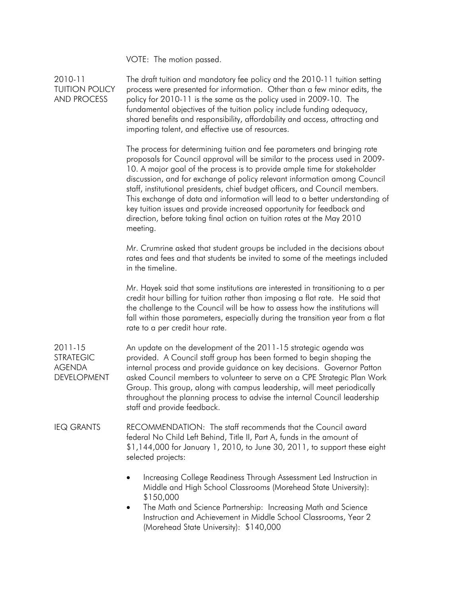VOTE: The motion passed.

2010-11 TUITION POLICY AND PROCESS 2011-15 STRATEGIC AGENDA DEVELOPMENT IEQ GRANTS The draft tuition and mandatory fee policy and the 2010-11 tuition setting process were presented for information. Other than a few minor edits, the policy for 2010-11 is the same as the policy used in 2009-10. The fundamental objectives of the tuition policy include funding adequacy, shared benefits and responsibility, affordability and access, attracting and importing talent, and effective use of resources. The process for determining tuition and fee parameters and bringing rate proposals for Council approval will be similar to the process used in 2009- 10. A major goal of the process is to provide ample time for stakeholder discussion, and for exchange of policy relevant information among Council staff, institutional presidents, chief budget officers, and Council members. This exchange of data and information will lead to a better understanding of key tuition issues and provide increased opportunity for feedback and direction, before taking final action on tuition rates at the May 2010 meeting. Mr. Crumrine asked that student groups be included in the decisions about rates and fees and that students be invited to some of the meetings included in the timeline. Mr. Hayek said that some institutions are interested in transitioning to a per credit hour billing for tuition rather than imposing a flat rate. He said that the challenge to the Council will be how to assess how the institutions will fall within those parameters, especially during the transition year from a flat rate to a per credit hour rate. An update on the development of the 2011-15 strategic agenda was provided. A Council staff group has been formed to begin shaping the internal process and provide guidance on key decisions. Governor Patton asked Council members to volunteer to serve on a CPE Strategic Plan Work Group. This group, along with campus leadership, will meet periodically throughout the planning process to advise the internal Council leadership staff and provide feedback. RECOMMENDATION: The staff recommends that the Council award federal No Child Left Behind, Title II, Part A, funds in the amount of \$1,144,000 for January 1, 2010, to June 30, 2011, to support these eight selected projects: Increasing College Readiness Through Assessment Led Instruction in Middle and High School Classrooms (Morehead State University): \$150,000 The Math and Science Partnership: Increasing Math and Science Instruction and Achievement in Middle School Classrooms, Year 2 (Morehead State University): \$140,000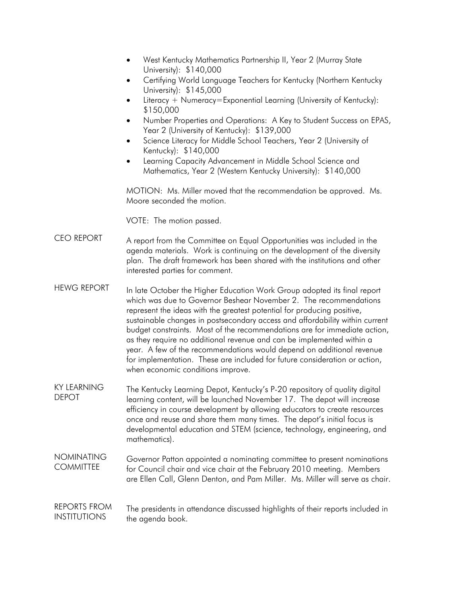- West Kentucky Mathematics Partnership II, Year 2 (Murray State University): \$140,000
- Certifying World Language Teachers for Kentucky (Northern Kentucky University): \$145,000
- Literacy + Numeracy=Exponential Learning (University of Kentucky): \$150,000
- Number Properties and Operations: A Key to Student Success on EPAS, Year 2 (University of Kentucky): \$139,000
- Science Literacy for Middle School Teachers, Year 2 (University of Kentucky): \$140,000
- Learning Capacity Advancement in Middle School Science and Mathematics, Year 2 (Western Kentucky University): \$140,000

MOTION: Ms. Miller moved that the recommendation be approved. Ms. Moore seconded the motion.

VOTE: The motion passed.

- CEO REPORT A report from the Committee on Equal Opportunities was included in the agenda materials. Work is continuing on the development of the diversity plan. The draft framework has been shared with the institutions and other interested parties for comment.
- HEWG REPORT In late October the Higher Education Work Group adopted its final report which was due to Governor Beshear November 2. The recommendations represent the ideas with the greatest potential for producing positive, sustainable changes in postsecondary access and affordability within current budget constraints. Most of the recommendations are for immediate action, as they require no additional revenue and can be implemented within a year. A few of the recommendations would depend on additional revenue for implementation. These are included for future consideration or action, when economic conditions improve.
- KY LEARNING DEPOT The Kentucky Learning Depot, Kentucky's P-20 repository of quality digital learning content, will be launched November 17. The depot will increase efficiency in course development by allowing educators to create resources once and reuse and share them many times. The depot's initial focus is developmental education and STEM (science, technology, engineering, and mathematics).
- NOMINATING **COMMITTEE** Governor Patton appointed a nominating committee to present nominations for Council chair and vice chair at the February 2010 meeting. Members are Ellen Call, Glenn Denton, and Pam Miller. Ms. Miller will serve as chair.
- REPORTS FROM INSTITUTIONS The presidents in attendance discussed highlights of their reports included in the agenda book.